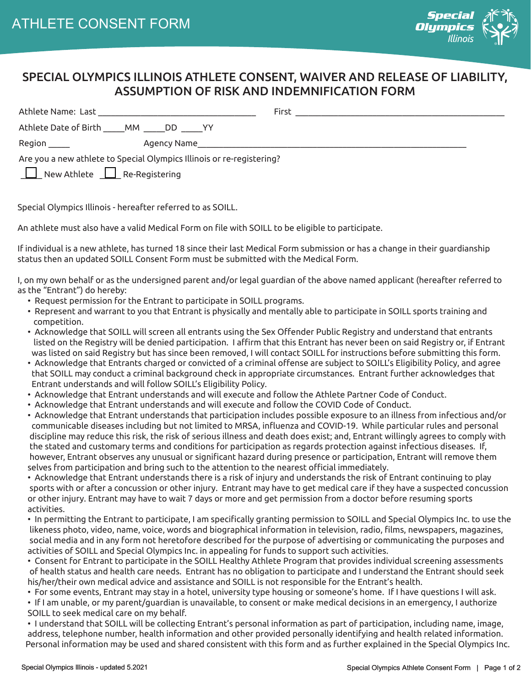

## SPECIAL OLYMPICS ILLINOIS ATHLETE CONSENT, WAIVER AND RELEASE OF LIABILITY, ASSUMPTION OF RISK AND INDEMNIFICATION FORM

|                                                                                                                                 | First |
|---------------------------------------------------------------------------------------------------------------------------------|-------|
| Athlete Date of Birth MM DD<br>i yy                                                                                             |       |
| Region _____<br>Agency Name and the control of the control of the control of the control of the control of the control of the c |       |
| Are you a new athlete to Special Olympics Illinois or re-registering?                                                           |       |
| New Athlete <u>I Re-Registering</u>                                                                                             |       |

Special Olympics Illinois - hereafter referred to as SOILL.

An athlete must also have a valid Medical Form on file with SOILL to be eligible to participate.

If individual is a new athlete, has turned 18 since their last Medical Form submission or has a change in their guardianship status then an updated SOILL Consent Form must be submitted with the Medical Form.

I, on my own behalf or as the undersigned parent and/or legal guardian of the above named applicant (hereafter referred to as the "Entrant") do hereby:

- Request permission for the Entrant to participate in SOILL programs.
- Represent and warrant to you that Entrant is physically and mentally able to participate in SOILL sports training and competition.
- Acknowledge that SOILL will screen all entrants using the Sex Offender Public Registry and understand that entrants listed on the Registry will be denied participation. I affirm that this Entrant has never been on said Registry or, if Entrant was listed on said Registry but has since been removed, I will contact SOILL for instructions before submitting this form.
- Acknowledge that Entrants charged or convicted of a criminal offense are subject to SOILL's Eligibility Policy, and agree that SOILL may conduct a criminal background check in appropriate circumstances. Entrant further acknowledges that Entrant understands and will follow SOILL's Eligibility Policy.
- Acknowledge that Entrant understands and will execute and follow the Athlete Partner Code of Conduct.
- Acknowledge that Entrant understands and will execute and follow the COVID Code of Conduct.
- Acknowledge that Entrant understands that participation includes possible exposure to an illness from infectious and/or communicable diseases including but not limited to MRSA, influenza and COVID-19. While particular rules and personal discipline may reduce this risk, the risk of serious illness and death does exist; and, Entrant willingly agrees to comply with the stated and customary terms and conditions for participation as regards protection against infectious diseases. If, however, Entrant observes any unusual or significant hazard during presence or participation, Entrant will remove them selves from participation and bring such to the attention to the nearest official immediately.

 • Acknowledge that Entrant understands there is a risk of injury and understands the risk of Entrant continuing to play sports with or after a concussion or other injury. Entrant may have to get medical care if they have a suspected concussion or other injury. Entrant may have to wait 7 days or more and get permission from a doctor before resuming sports activities.

 • In permitting the Entrant to participate, I am specifically granting permission to SOILL and Special Olympics Inc. to use the likeness photo, video, name, voice, words and biographical information in television, radio, films, newspapers, magazines, social media and in any form not heretofore described for the purpose of advertising or communicating the purposes and activities of SOILL and Special Olympics Inc. in appealing for funds to support such activities.

 • Consent for Entrant to participate in the SOILL Healthy Athlete Program that provides individual screening assessments of health status and health care needs. Entrant has no obligation to participate and I understand the Entrant should seek his/her/their own medical advice and assistance and SOILL is not responsible for the Entrant's health.

• For some events, Entrant may stay in a hotel, university type housing or someone's home. If I have questions I will ask.

 • If I am unable, or my parent/guardian is unavailable, to consent or make medical decisions in an emergency, I authorize SOILL to seek medical care on my behalf.

 • I understand that SOILL will be collecting Entrant's personal information as part of participation, including name, image, address, telephone number, health information and other provided personally identifying and health related information. Personal information may be used and shared consistent with this form and as further explained in the Special Olympics Inc.